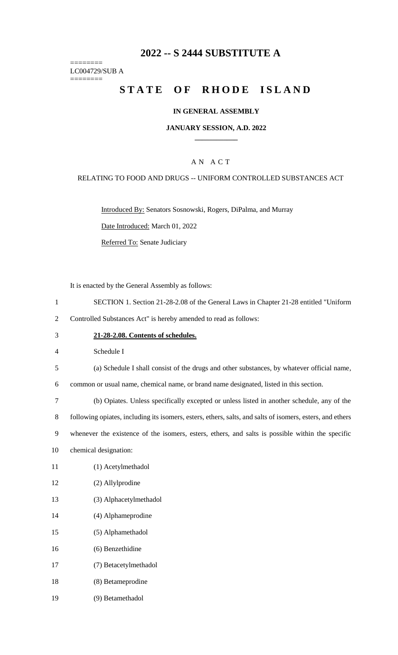# **-- S 2444 SUBSTITUTE A**

======== LC004729/SUB A

========

# **STATE OF RHODE ISLAND**

#### **IN GENERAL ASSEMBLY**

#### **JANUARY SESSION, A.D. 2022 \_\_\_\_\_\_\_\_\_\_\_\_**

### A N A C T

#### RELATING TO FOOD AND DRUGS -- UNIFORM CONTROLLED SUBSTANCES ACT

Introduced By: Senators Sosnowski, Rogers, DiPalma, and Murray

Date Introduced: March 01, 2022

Referred To: Senate Judiciary

It is enacted by the General Assembly as follows:

- SECTION 1. Section 21-28-2.08 of the General Laws in Chapter 21-28 entitled "Uniform
- Controlled Substances Act" is hereby amended to read as follows:
- **21-28-2.08. Contents of schedules.**

Schedule I

(a) Schedule I shall consist of the drugs and other substances, by whatever official name,

common or usual name, chemical name, or brand name designated, listed in this section.

(b) Opiates. Unless specifically excepted or unless listed in another schedule, any of the

following opiates, including its isomers, esters, ethers, salts, and salts of isomers, esters, and ethers

whenever the existence of the isomers, esters, ethers, and salts is possible within the specific

- chemical designation:
- (1) Acetylmethadol
- (2) Allylprodine
- (3) Alphacetylmethadol
- (4) Alphameprodine
- (5) Alphamethadol
- (6) Benzethidine
- (7) Betacetylmethadol
- (8) Betameprodine
- (9) Betamethadol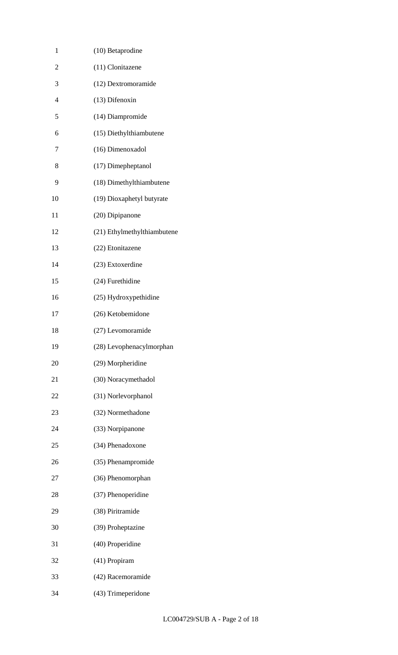| 1              | (10) Betaprodine            |
|----------------|-----------------------------|
| $\overline{c}$ | (11) Clonitazene            |
| 3              | (12) Dextromoramide         |
| $\overline{4}$ | (13) Difenoxin              |
| 5              | (14) Diampromide            |
| 6              | (15) Diethylthiambutene     |
| 7              | (16) Dimenoxadol            |
| 8              | (17) Dimepheptanol          |
| 9              | (18) Dimethylthiambutene    |
| 10             | (19) Dioxaphetyl butyrate   |
| 11             | (20) Dipipanone             |
| 12             | (21) Ethylmethylthiambutene |
| 13             | (22) Etonitazene            |
| 14             | (23) Extoxerdine            |
| 15             | (24) Furethidine            |
| 16             | (25) Hydroxypethidine       |
| 17             | (26) Ketobemidone           |
| 18             | (27) Levomoramide           |
| 19             | (28) Levophenacylmorphan    |
| 20             | (29) Morpheridine           |
| 21             | (30) Noracymethadol         |
| 22             | (31) Norlevorphanol         |
| 23             | (32) Normethadone           |
| 24             | (33) Norpipanone            |
| 25             | (34) Phenadoxone            |
| 26             | (35) Phenampromide          |
| 27             | (36) Phenomorphan           |
| 28             | (37) Phenoperidine          |
| 29             | (38) Piritramide            |
| 30             | (39) Proheptazine           |
| 31             | (40) Properidine            |
| 32             | (41) Propiram               |
| 33             | (42) Racemoramide           |
| 34             | (43) Trimeperidone          |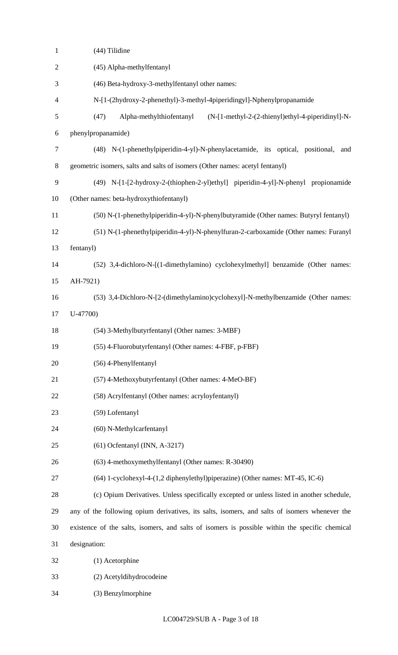| $\mathbf{1}$   | (44) Tilidine                                                                                  |
|----------------|------------------------------------------------------------------------------------------------|
| $\mathbf{2}$   | (45) Alpha-methylfentanyl                                                                      |
| 3              | (46) Beta-hydroxy-3-methylfentanyl other names:                                                |
| $\overline{4}$ | N-[1-(2hydroxy-2-phenethyl)-3-methyl-4piperidingyl]-Nphenylpropanamide                         |
| 5              | (47)<br>Alpha-methylthiofentanyl<br>(N-[1-methyl-2-(2-thienyl)ethyl-4-piperidinyl]-N-          |
| 6              | phenylpropanamide)                                                                             |
| $\tau$         | (48) N-(1-phenethylpiperidin-4-yl)-N-phenylacetamide, its optical, positional,<br>and          |
| 8              | geometric isomers, salts and salts of isomers (Other names: acetyl fentanyl)                   |
| 9              | (49) N-[1-[2-hydroxy-2-(thiophen-2-yl)ethyl] piperidin-4-yl]-N-phenyl propionamide             |
| 10             | (Other names: beta-hydroxythiofentanyl)                                                        |
| 11             | (50) N-(1-phenethylpiperidin-4-yl)-N-phenylbutyramide (Other names: Butyryl fentanyl)          |
| 12             | (51) N-(1-phenethylpiperidin-4-yl)-N-phenylfuran-2-carboxamide (Other names: Furanyl           |
| 13             | fentanyl)                                                                                      |
| 14             | (52) 3,4-dichloro-N-[(1-dimethylamino) cyclohexylmethyl] benzamide (Other names:               |
| 15             | AH-7921)                                                                                       |
| 16             | (53) 3,4-Dichloro-N-[2-(dimethylamino)cyclohexyl]-N-methylbenzamide (Other names:              |
| 17             | $U-47700$                                                                                      |
| 18             | (54) 3-Methylbutyrfentanyl (Other names: 3-MBF)                                                |
| 19             | (55) 4-Fluorobutyrfentanyl (Other names: 4-FBF, p-FBF)                                         |
| 20             | (56) 4-Phenylfentanyl                                                                          |
| 21             | (57) 4-Methoxybutyrfentanyl (Other names: 4-MeO-BF)                                            |
| 22             | (58) Acrylfentanyl (Other names: acryloyfentanyl)                                              |
| 23             | (59) Lofentanyl                                                                                |
| 24             | (60) N-Methylcarfentanyl                                                                       |
| 25             | $(61)$ Ocfentanyl (INN, A-3217)                                                                |
| 26             | (63) 4-methoxymethylfentanyl (Other names: R-30490)                                            |
| 27             | (64) 1-cyclohexyl-4-(1,2 diphenylethyl)piperazine) (Other names: MT-45, IC-6)                  |
| 28             | (c) Opium Derivatives. Unless specifically excepted or unless listed in another schedule,      |
| 29             | any of the following opium derivatives, its salts, isomers, and salts of isomers whenever the  |
| 30             | existence of the salts, isomers, and salts of isomers is possible within the specific chemical |
| 31             | designation:                                                                                   |
| 32             | (1) Acetorphine                                                                                |
| 33             | (2) Acetyldihydrocodeine                                                                       |
| 34             | (3) Benzylmorphine                                                                             |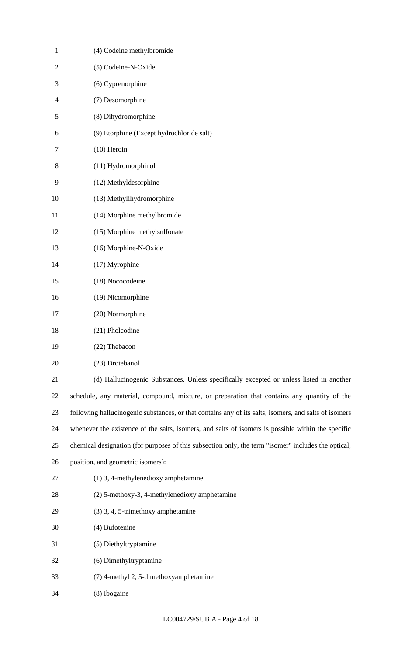| $\mathbf{1}$  | (4) Codeine methylbromide                                                                             |
|---------------|-------------------------------------------------------------------------------------------------------|
| $\sqrt{2}$    | (5) Codeine-N-Oxide                                                                                   |
| 3             | (6) Cyprenorphine                                                                                     |
| 4             | (7) Desomorphine                                                                                      |
| $\mathfrak s$ | (8) Dihydromorphine                                                                                   |
| 6             | (9) Etorphine (Except hydrochloride salt)                                                             |
| 7             | $(10)$ Heroin                                                                                         |
| 8             | (11) Hydromorphinol                                                                                   |
| 9             | (12) Methyldesorphine                                                                                 |
| 10            | (13) Methylihydromorphine                                                                             |
| 11            | (14) Morphine methylbromide                                                                           |
| 12            | (15) Morphine methylsulfonate                                                                         |
| 13            | (16) Morphine-N-Oxide                                                                                 |
| 14            | (17) Myrophine                                                                                        |
| 15            | (18) Nococodeine                                                                                      |
| 16            | (19) Nicomorphine                                                                                     |
| 17            | (20) Normorphine                                                                                      |
| 18            | (21) Pholcodine                                                                                       |
| 19            | (22) Thebacon                                                                                         |
| 20            | (23) Drotebanol                                                                                       |
| 21            | (d) Hallucinogenic Substances. Unless specifically excepted or unless listed in another               |
| 22            | schedule, any material, compound, mixture, or preparation that contains any quantity of the           |
| 23            | following hallucinogenic substances, or that contains any of its salts, isomers, and salts of isomers |
| 24            | whenever the existence of the salts, isomers, and salts of isomers is possible within the specific    |
| 25            | chemical designation (for purposes of this subsection only, the term "isomer" includes the optical,   |
| 26            | position, and geometric isomers):                                                                     |
| 27            | $(1)$ 3, 4-methylenedioxy amphetamine                                                                 |
| 28            | (2) 5-methoxy-3, 4-methylenedioxy amphetamine                                                         |
| 29            | (3) 3, 4, 5-trimethoxy amphetamine                                                                    |
| 30            | (4) Bufotenine                                                                                        |
| 31            | (5) Diethyltryptamine                                                                                 |
| 32            | (6) Dimethyltryptamine                                                                                |
| 33            | (7) 4-methyl 2, 5-dimethoxyamphetamine                                                                |
| 34            | (8) Ibogaine                                                                                          |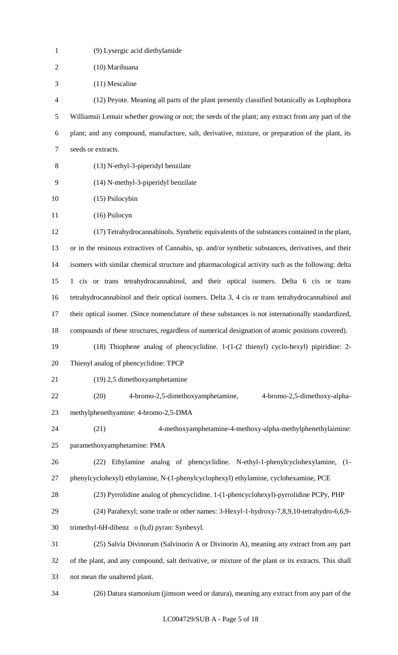| $\mathbf{1}$   | (9) Lysergic acid diethylamide                                                                          |
|----------------|---------------------------------------------------------------------------------------------------------|
| $\overline{2}$ | (10) Marihuana                                                                                          |
| 3              | (11) Mescaline                                                                                          |
| 4              | (12) Peyote. Meaning all parts of the plant presently classified botanically as Lophophora              |
| 5              | Williamsii Lemair whether growing or not; the seeds of the plant; any extract from any part of the      |
| 6              | plant; and any compound, manufacture, salt, derivative, mixture, or preparation of the plant, its       |
| $\tau$         | seeds or extracts.                                                                                      |
| 8              | (13) N-ethyl-3-piperidyl benzilate                                                                      |
| 9              | (14) N-methyl-3-piperidyl benzilate                                                                     |
| 10             | $(15)$ Psilocybin                                                                                       |
| 11             | (16) Psilocyn                                                                                           |
| 12             | (17) Tetrahydrocannabinols. Synthetic equivalents of the substances contained in the plant,             |
| 13             | or in the resinous extractives of Cannabis, sp. and/or synthetic substances, derivatives, and their     |
| 14             | isomers with similar chemical structure and pharmacological activity such as the following: delta       |
| 15             | 1 cis or trans tetrahydrocannabinol, and their optical isomers. Delta 6 cis or trans                    |
| 16             | tetrahydrocannabinol and their optical isomers. Delta 3, 4 cis or trans tetrahydrocannabinol and        |
| 17             | their optical isomer. (Since nomenclature of these substances is not internationally standardized,      |
| 18             | compounds of these structures, regardless of numerical designation of atomic positions covered).        |
| 19             | $(18)$ Thiophene analog of phencyclidine. $1-(1-(2 \text{thienyl}) \text{ cyclo-hexyl})$ pipiridine: 2- |
| 20             | Thienyl analog of phencyclidine: TPCP                                                                   |
| 21             | (19) 2,5 dimethoxyamphetamine                                                                           |
| 22             | 4-bromo-2,5-dimethoxyamphetamine,<br>4-bromo-2,5-dimethoxy-alpha-<br>(20)                               |
| 23             | methylphenethyamine: 4-bromo-2,5-DMA                                                                    |
| 24             | 4-methoxyamphetamine-4-methoxy-alpha-methylphenethylaimine:<br>(21)                                     |
| 25             | paramethoxyamphetamine: PMA                                                                             |
| 26             | Ethylamine analog of phencyclidine. N-ethyl-1-phenylcyclohexylamine, (1-<br>(22)                        |
| 27             | phenylcyclohexyl) ethylamine, N-(1-phenylcyclophexyl) ethylamine, cyclohexamine, PCE                    |
| 28             | (23) Pyrrolidine analog of phencyclidine. 1-(1-phencyclohexyl)-pyrrolidine PCPy, PHP                    |
| 29             | (24) Parahexyl; some trade or other names: 3-Hexyl-1-hydroxy-7,8,9,10-tetrahydro-6,6,9-                 |
| 30             | trimethyl-6H-dibenz o (b,d) pyran: Synhexyl.                                                            |
| 31             | (25) Salvia Divinorum (Salvinorin A or Divinorin A), meaning any extract from any part                  |
| 32             | of the plant, and any compound, salt derivative, or mixture of the plant or its extracts. This shall    |
| 33             | not mean the unaltered plant.                                                                           |
| 34             | (26) Datura stamonium (jimsom weed or datura), meaning any extract from any part of the                 |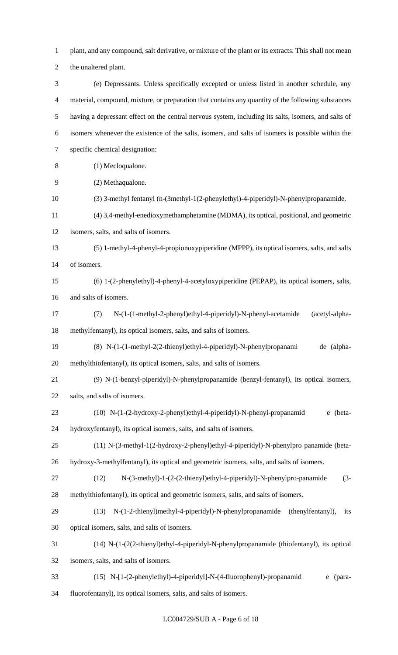plant, and any compound, salt derivative, or mixture of the plant or its extracts. This shall not mean

the unaltered plant.

 (e) Depressants. Unless specifically excepted or unless listed in another schedule, any material, compound, mixture, or preparation that contains any quantity of the following substances having a depressant effect on the central nervous system, including its salts, isomers, and salts of isomers whenever the existence of the salts, isomers, and salts of isomers is possible within the specific chemical designation: (1) Mecloqualone. (2) Methaqualone.

- (3) 3-methyl fentanyl (n-(3methyl-1(2-phenylethyl)-4-piperidyl)-N-phenylpropanamide.
- (4) 3,4-methyl-enedioxymethamphetamine (MDMA), its optical, positional, and geometric
- isomers, salts, and salts of isomers.

 (5) 1-methyl-4-phenyl-4-propionoxypiperidine (MPPP), its optical isomers, salts, and salts of isomers.

- (6) 1-(2-phenylethyl)-4-phenyl-4-acetyloxypiperidine (PEPAP), its optical isomers, salts, and salts of isomers.
- (7) N-(1-(1-methyl-2-phenyl)ethyl-4-piperidyl)-N-phenyl-acetamide (acetyl-alpha-methylfentanyl), its optical isomers, salts, and salts of isomers.
- (8) N-(1-(1-methyl-2(2-thienyl)ethyl-4-piperidyl)-N-phenylpropanami de (alpha-methylthiofentanyl), its optical isomers, salts, and salts of isomers.
- (9) N-(1-benzyl-piperidyl)-N-phenylpropanamide (benzyl-fentanyl), its optical isomers, salts, and salts of isomers.
- (10) N-(1-(2-hydroxy-2-phenyl)ethyl-4-piperidyl)-N-phenyl-propanamid e (beta-hydroxyfentanyl), its optical isomers, salts, and salts of isomers.
- (11) N-(3-methyl-1(2-hydroxy-2-phenyl)ethyl-4-piperidyl)-N-phenylpro panamide (beta-
- hydroxy-3-methylfentanyl), its optical and geometric isomers, salts, and salts of isomers.
- (12) N-(3-methyl)-1-(2-(2-thienyl)ethyl-4-piperidyl)-N-phenylpro-panamide (3- methylthiofentanyl), its optical and geometric isomers, salts, and salts of isomers.
- (13) N-(1-2-thienyl)methyl-4-piperidyl)-N-phenylpropanamide (thenylfentanyl), its optical isomers, salts, and salts of isomers.
- (14) N-(1-(2(2-thienyl)ethyl-4-piperidyl-N-phenylpropanamide (thiofentanyl), its optical
- isomers, salts, and salts of isomers.
- (15) N-[1-(2-phenylethyl)-4-piperidyl]-N-(4-fluorophenyl)-propanamid e (para-
- fluorofentanyl), its optical isomers, salts, and salts of isomers.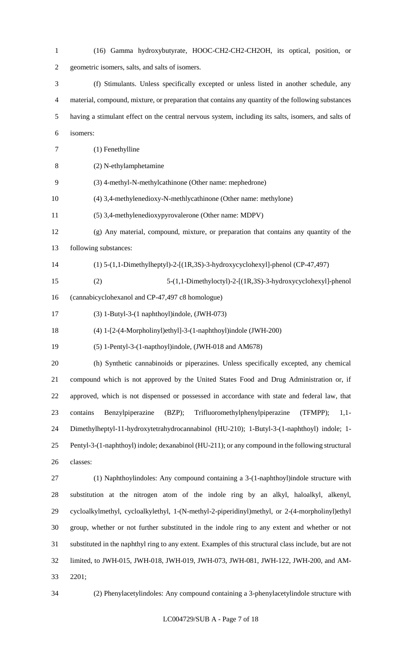(16) Gamma hydroxybutyrate, HOOC-CH2-CH2-CH2OH, its optical, position, or geometric isomers, salts, and salts of isomers. (f) Stimulants. Unless specifically excepted or unless listed in another schedule, any material, compound, mixture, or preparation that contains any quantity of the following substances having a stimulant effect on the central nervous system, including its salts, isomers, and salts of isomers: (1) Fenethylline (2) N-ethylamphetamine (3) 4-methyl-N-methylcathinone (Other name: mephedrone) (4) 3,4-methylenedioxy-N-methlycathinone (Other name: methylone) (5) 3,4-methylenedioxypyrovalerone (Other name: MDPV) (g) Any material, compound, mixture, or preparation that contains any quantity of the following substances: (1) 5-(1,1-Dimethylheptyl)-2-[(1R,3S)-3-hydroxycyclohexyl]-phenol (CP-47,497) (2) 5-(1,1-Dimethyloctyl)-2-[(1R,3S)-3-hydroxycyclohexyl]-phenol (cannabicyclohexanol and CP-47,497 c8 homologue) (3) 1-Butyl-3-(1 naphthoyl)indole, (JWH-073) (4) 1-[2-(4-Morpholinyl)ethyl]-3-(1-naphthoyl)indole (JWH-200) (5) 1-Pentyl-3-(1-napthoyl)indole, (JWH-018 and AM678) (h) Synthetic cannabinoids or piperazines. Unless specifically excepted, any chemical compound which is not approved by the United States Food and Drug Administration or, if approved, which is not dispensed or possessed in accordance with state and federal law, that contains Benzylpiperazine (BZP); Trifluoromethylphenylpiperazine (TFMPP); 1,1- Dimethylheptyl-11-hydroxytetrahydrocannabinol (HU-210); 1-Butyl-3-(1-naphthoyl) indole; 1- Pentyl-3-(1-naphthoyl) indole; dexanabinol (HU-211); or any compound in the following structural classes: (1) Naphthoylindoles: Any compound containing a 3-(1-naphthoyl)indole structure with substitution at the nitrogen atom of the indole ring by an alkyl, haloalkyl, alkenyl, cycloalkylmethyl, cycloalkylethyl, 1-(N-methyl-2-piperidinyl)methyl, or 2-(4-morpholinyl)ethyl group, whether or not further substituted in the indole ring to any extent and whether or not substituted in the naphthyl ring to any extent. Examples of this structural class include, but are not limited, to JWH-015, JWH-018, JWH-019, JWH-073, JWH-081, JWH-122, JWH-200, and AM-2201;

(2) Phenylacetylindoles: Any compound containing a 3-phenylacetylindole structure with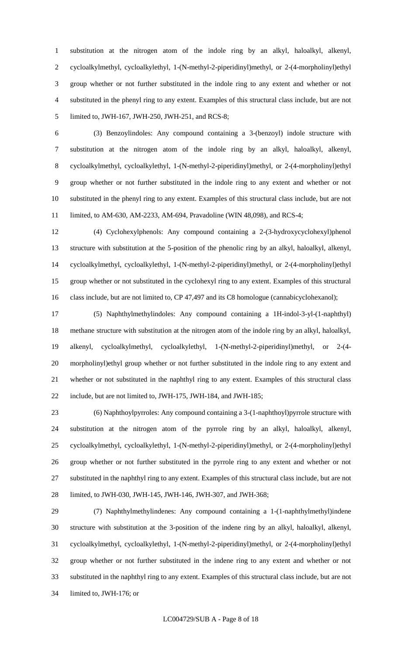substitution at the nitrogen atom of the indole ring by an alkyl, haloalkyl, alkenyl, cycloalkylmethyl, cycloalkylethyl, 1-(N-methyl-2-piperidinyl)methyl, or 2-(4-morpholinyl)ethyl group whether or not further substituted in the indole ring to any extent and whether or not substituted in the phenyl ring to any extent. Examples of this structural class include, but are not limited to, JWH-167, JWH-250, JWH-251, and RCS-8;

 (3) Benzoylindoles: Any compound containing a 3-(benzoyl) indole structure with substitution at the nitrogen atom of the indole ring by an alkyl, haloalkyl, alkenyl, cycloalkylmethyl, cycloalkylethyl, 1-(N-methyl-2-piperidinyl)methyl, or 2-(4-morpholinyl)ethyl group whether or not further substituted in the indole ring to any extent and whether or not substituted in the phenyl ring to any extent. Examples of this structural class include, but are not limited, to AM-630, AM-2233, AM-694, Pravadoline (WIN 48,098), and RCS-4;

 (4) Cyclohexylphenols: Any compound containing a 2-(3-hydroxycyclohexyl)phenol structure with substitution at the 5-position of the phenolic ring by an alkyl, haloalkyl, alkenyl, cycloalkylmethyl, cycloalkylethyl, 1-(N-methyl-2-piperidinyl)methyl, or 2-(4-morpholinyl)ethyl group whether or not substituted in the cyclohexyl ring to any extent. Examples of this structural 16 class include, but are not limited to, CP 47,497 and its C8 homologue (cannabicyclohexanol);

 (5) Naphthylmethylindoles: Any compound containing a 1H-indol-3-yl-(1-naphthyl) methane structure with substitution at the nitrogen atom of the indole ring by an alkyl, haloalkyl, alkenyl, cycloalkylmethyl, cycloalkylethyl, 1-(N-methyl-2-piperidinyl)methyl, or 2-(4- morpholinyl)ethyl group whether or not further substituted in the indole ring to any extent and whether or not substituted in the naphthyl ring to any extent. Examples of this structural class include, but are not limited to, JWH-175, JWH-184, and JWH-185;

 (6) Naphthoylpyrroles: Any compound containing a 3-(1-naphthoyl)pyrrole structure with substitution at the nitrogen atom of the pyrrole ring by an alkyl, haloalkyl, alkenyl, cycloalkylmethyl, cycloalkylethyl, 1-(N-methyl-2-piperidinyl)methyl, or 2-(4-morpholinyl)ethyl group whether or not further substituted in the pyrrole ring to any extent and whether or not substituted in the naphthyl ring to any extent. Examples of this structural class include, but are not limited, to JWH-030, JWH-145, JWH-146, JWH-307, and JWH-368;

 (7) Naphthylmethylindenes: Any compound containing a 1-(1-naphthylmethyl)indene structure with substitution at the 3-position of the indene ring by an alkyl, haloalkyl, alkenyl, cycloalkylmethyl, cycloalkylethyl, 1-(N-methyl-2-piperidinyl)methyl, or 2-(4-morpholinyl)ethyl group whether or not further substituted in the indene ring to any extent and whether or not substituted in the naphthyl ring to any extent. Examples of this structural class include, but are not limited to, JWH-176; or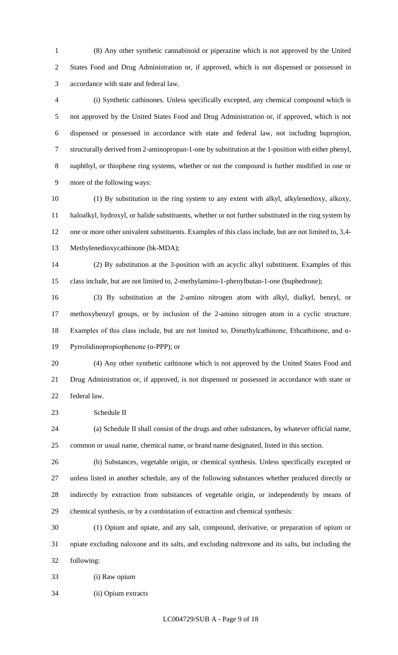(8) Any other synthetic cannabinoid or piperazine which is not approved by the United States Food and Drug Administration or, if approved, which is not dispensed or possessed in accordance with state and federal law.

 (i) Synthetic cathinones. Unless specifically excepted, any chemical compound which is not approved by the United States Food and Drug Administration or, if approved, which is not dispensed or possessed in accordance with state and federal law, not including bupropion, structurally derived from 2-aminopropan-1-one by substitution at the 1-position with either phenyl, naphthyl, or thiophene ring systems, whether or not the compound is further modified in one or more of the following ways:

 (1) By substitution in the ring system to any extent with alkyl, alkylenedioxy, alkoxy, haloalkyl, hydroxyl, or halide substituents, whether or not further substituted in the ring system by one or more other univalent substituents. Examples of this class include, but are not limited to, 3,4- Methylenedioxycathinone (bk-MDA);

 (2) By substitution at the 3-position with an acyclic alkyl substituent. Examples of this class include, but are not limited to, 2-methylamino-1-phenylbutan-1-one (buphedrone);

 (3) By substitution at the 2-amino nitrogen atom with alkyl, dialkyl, benzyl, or methoxybenzyl groups, or by inclusion of the 2-amino nitrogen atom in a cyclic structure. Examples of this class include, but are not limited to, Dimethylcathinone, Ethcathinone, and α-Pyrrolidinopropiophenone (α-PPP); or

 (4) Any other synthetic cathinone which is not approved by the United States Food and Drug Administration or, if approved, is not dispensed or possessed in accordance with state or federal law.

Schedule II

 (a) Schedule II shall consist of the drugs and other substances, by whatever official name, common or usual name, chemical name, or brand name designated, listed in this section.

 (b) Substances, vegetable origin, or chemical synthesis. Unless specifically excepted or unless listed in another schedule, any of the following substances whether produced directly or indirectly by extraction from substances of vegetable origin, or independently by means of chemical synthesis, or by a combination of extraction and chemical synthesis:

 (1) Opium and opiate, and any salt, compound, derivative, or preparation of opium or opiate excluding naloxone and its salts, and excluding naltrexone and its salts, but including the following:

(i) Raw opium

(ii) Opium extracts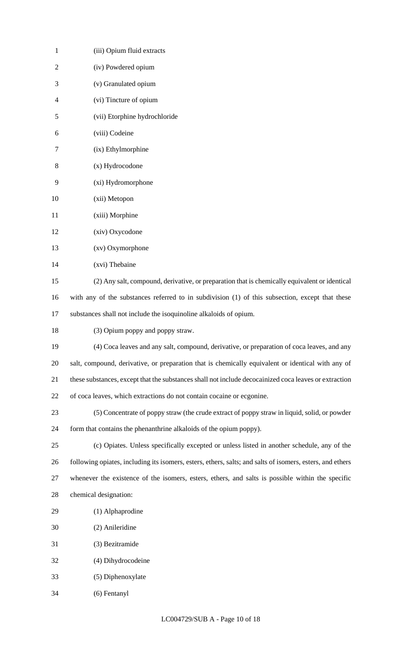| $\mathbf{1}$   | (iii) Opium fluid extracts                                                                                |
|----------------|-----------------------------------------------------------------------------------------------------------|
| $\overline{2}$ | (iv) Powdered opium                                                                                       |
| 3              | (v) Granulated opium                                                                                      |
| 4              | (vi) Tincture of opium                                                                                    |
| 5              | (vii) Etorphine hydrochloride                                                                             |
| 6              | (viii) Codeine                                                                                            |
| 7              | (ix) Ethylmorphine                                                                                        |
| 8              | (x) Hydrocodone                                                                                           |
| 9              | (xi) Hydromorphone                                                                                        |
| 10             | (xii) Metopon                                                                                             |
| 11             | (xiii) Morphine                                                                                           |
| 12             | (xiv) Oxycodone                                                                                           |
| 13             | (xv) Oxymorphone                                                                                          |
| 14             | (xvi) Thebaine                                                                                            |
| 15             | (2) Any salt, compound, derivative, or preparation that is chemically equivalent or identical             |
| 16             | with any of the substances referred to in subdivision (1) of this subsection, except that these           |
| 17             | substances shall not include the isoquinoline alkaloids of opium.                                         |
| 18             | (3) Opium poppy and poppy straw.                                                                          |
| 19             | (4) Coca leaves and any salt, compound, derivative, or preparation of coca leaves, and any                |
| 20             | salt, compound, derivative, or preparation that is chemically equivalent or identical with any of         |
| 21             | these substances, except that the substances shall not include decocainized coca leaves or extraction     |
| 22             | of coca leaves, which extractions do not contain cocaine or ecgonine.                                     |
| 23             | (5) Concentrate of poppy straw (the crude extract of poppy straw in liquid, solid, or powder              |
| 24             | form that contains the phenanthrine alkaloids of the opium poppy).                                        |
| 25             | (c) Opiates. Unless specifically excepted or unless listed in another schedule, any of the                |
| 26             | following opiates, including its isomers, esters, ethers, salts; and salts of isomers, esters, and ethers |
| 27             | whenever the existence of the isomers, esters, ethers, and salts is possible within the specific          |
| 28             | chemical designation:                                                                                     |
| 29             | (1) Alphaprodine                                                                                          |
| 30             | (2) Anileridine                                                                                           |
| 31             | (3) Bezitramide                                                                                           |
| 32             | (4) Dihydrocodeine                                                                                        |
| 33             | (5) Diphenoxylate                                                                                         |
| 34             | (6) Fentanyl                                                                                              |
|                |                                                                                                           |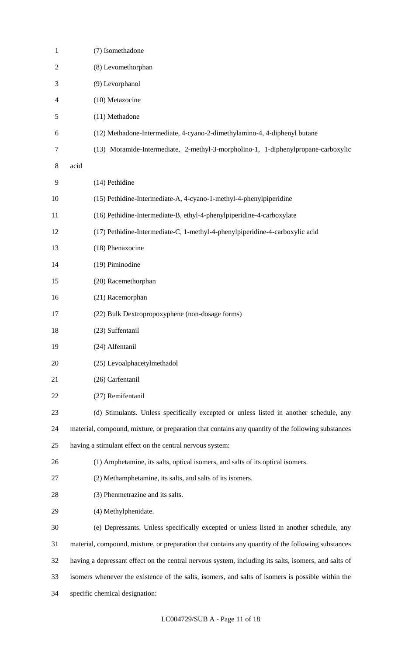| 1              | (7) Isomethadone                                                                                     |
|----------------|------------------------------------------------------------------------------------------------------|
| $\overline{c}$ | (8) Levomethorphan                                                                                   |
| 3              | (9) Levorphanol                                                                                      |
| 4              | (10) Metazocine                                                                                      |
| 5              | (11) Methadone                                                                                       |
| 6              | (12) Methadone-Intermediate, 4-cyano-2-dimethylamino-4, 4-diphenyl butane                            |
| $\tau$         | (13) Moramide-Intermediate, 2-methyl-3-morpholino-1, 1-diphenylpropane-carboxylic                    |
| 8              | acid                                                                                                 |
| 9              | (14) Pethidine                                                                                       |
| 10             | (15) Pethidine-Intermediate-A, 4-cyano-1-methyl-4-phenylpiperidine                                   |
| 11             | (16) Pethidine-Intermediate-B, ethyl-4-phenylpiperidine-4-carboxylate                                |
| 12             | (17) Pethidine-Intermediate-C, 1-methyl-4-phenylpiperidine-4-carboxylic acid                         |
| 13             | (18) Phenaxocine                                                                                     |
| 14             | (19) Piminodine                                                                                      |
| 15             | (20) Racemethorphan                                                                                  |
| 16             | (21) Racemorphan                                                                                     |
| 17             | (22) Bulk Dextropropoxyphene (non-dosage forms)                                                      |
| 18             | (23) Suffentanil                                                                                     |
| 19             | (24) Alfentanil                                                                                      |
| 20             | (25) Levoalphacetylmethadol                                                                          |
| 21             | (26) Carfentanil                                                                                     |
| 22             | (27) Remifentanil                                                                                    |
| 23             | (d) Stimulants. Unless specifically excepted or unless listed in another schedule, any               |
| 24             | material, compound, mixture, or preparation that contains any quantity of the following substances   |
| 25             | having a stimulant effect on the central nervous system:                                             |
| 26             | (1) Amphetamine, its salts, optical isomers, and salts of its optical isomers.                       |
| 27             | (2) Methamphetamine, its salts, and salts of its isomers.                                            |
| 28             | (3) Phenmetrazine and its salts.                                                                     |
| 29             | (4) Methylphenidate.                                                                                 |
| 30             | (e) Depressants. Unless specifically excepted or unless listed in another schedule, any              |
| 31             | material, compound, mixture, or preparation that contains any quantity of the following substances   |
| 32             | having a depressant effect on the central nervous system, including its salts, isomers, and salts of |
| 33             | isomers whenever the existence of the salts, isomers, and salts of isomers is possible within the    |
| 34             | specific chemical designation:                                                                       |
|                |                                                                                                      |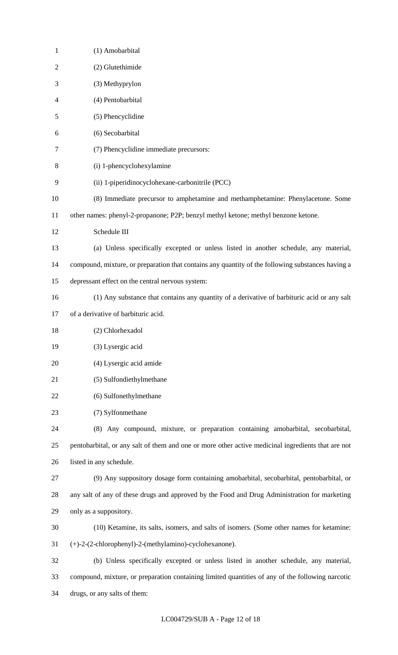| $\mathbf{1}$   | (1) Amobarbital                                                                                    |
|----------------|----------------------------------------------------------------------------------------------------|
| $\overline{2}$ | (2) Glutethimide                                                                                   |
| 3              | (3) Methyprylon                                                                                    |
| 4              | (4) Pentobarbital                                                                                  |
| 5              | (5) Phencyclidine                                                                                  |
| 6              | (6) Secobarbital                                                                                   |
| 7              | (7) Phencyclidine immediate precursors:                                                            |
| 8              | (i) 1-phencyclohexylamine                                                                          |
| 9              | (ii) 1-piperidinocyclohexane-carbonitrile (PCC)                                                    |
| 10             | (8) Immediate precursor to amphetamine and methamphetamine: Phenylacetone. Some                    |
| 11             | other names: phenyl-2-propanone; P2P; benzyl methyl ketone; methyl benzone ketone.                 |
| 12             | Schedule III                                                                                       |
| 13             | (a) Unless specifically excepted or unless listed in another schedule, any material,               |
| 14             | compound, mixture, or preparation that contains any quantity of the following substances having a  |
| 15             | depressant effect on the central nervous system:                                                   |
| 16             | (1) Any substance that contains any quantity of a derivative of barbituric acid or any salt        |
| 17             | of a derivative of barbituric acid.                                                                |
| 18             | (2) Chlorhexadol                                                                                   |
| 19             | (3) Lysergic acid                                                                                  |
| 20             | (4) Lysergic acid amide                                                                            |
| 21             | (5) Sulfondiethylmethane                                                                           |
| 22             | (6) Sulfonethylmethane                                                                             |
| 23             | (7) Sylfonmethane                                                                                  |
| 24             | (8) Any compound, mixture, or preparation containing amobarbital, secobarbital,                    |
| 25             | pentobarbital, or any salt of them and one or more other active medicinal ingredients that are not |
| 26             | listed in any schedule.                                                                            |
| 27             | (9) Any suppository dosage form containing amobarbital, secobarbital, pentobarbital, or            |
| 28             | any salt of any of these drugs and approved by the Food and Drug Administration for marketing      |
| 29             | only as a suppository.                                                                             |
| 30             | (10) Ketamine, its salts, isomers, and salts of isomers. (Some other names for ketamine:           |
| 31             | (+)-2-(2-chlorophenyl)-2-(methylamino)-cyclohexanone).                                             |
| 32             | (b) Unless specifically excepted or unless listed in another schedule, any material,               |
| 33             | compound, mixture, or preparation containing limited quantities of any of the following narcotic   |
| 34             | drugs, or any salts of them:                                                                       |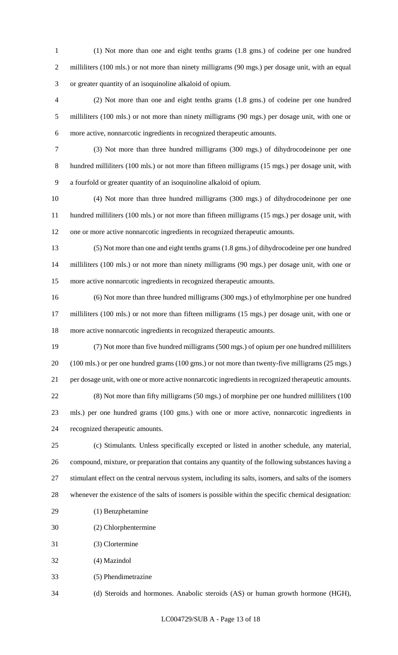(1) Not more than one and eight tenths grams (1.8 gms.) of codeine per one hundred 2 milliliters (100 mls.) or not more than ninety milligrams (90 mgs.) per dosage unit, with an equal or greater quantity of an isoquinoline alkaloid of opium.

 (2) Not more than one and eight tenths grams (1.8 gms.) of codeine per one hundred milliliters (100 mls.) or not more than ninety milligrams (90 mgs.) per dosage unit, with one or more active, nonnarcotic ingredients in recognized therapeutic amounts.

 (3) Not more than three hundred milligrams (300 mgs.) of dihydrocodeinone per one hundred milliliters (100 mls.) or not more than fifteen milligrams (15 mgs.) per dosage unit, with a fourfold or greater quantity of an isoquinoline alkaloid of opium.

 (4) Not more than three hundred milligrams (300 mgs.) of dihydrocodeinone per one hundred milliliters (100 mls.) or not more than fifteen milligrams (15 mgs.) per dosage unit, with one or more active nonnarcotic ingredients in recognized therapeutic amounts.

 (5) Not more than one and eight tenths grams (1.8 gms.) of dihydrocodeine per one hundred milliliters (100 mls.) or not more than ninety milligrams (90 mgs.) per dosage unit, with one or more active nonnarcotic ingredients in recognized therapeutic amounts.

 (6) Not more than three hundred milligrams (300 mgs.) of ethylmorphine per one hundred milliliters (100 mls.) or not more than fifteen milligrams (15 mgs.) per dosage unit, with one or more active nonnarcotic ingredients in recognized therapeutic amounts.

 (7) Not more than five hundred milligrams (500 mgs.) of opium per one hundred milliliters (100 mls.) or per one hundred grams (100 gms.) or not more than twenty-five milligrams (25 mgs.) per dosage unit, with one or more active nonnarcotic ingredients in recognized therapeutic amounts. (8) Not more than fifty milligrams (50 mgs.) of morphine per one hundred milliliters (100 mls.) per one hundred grams (100 gms.) with one or more active, nonnarcotic ingredients in recognized therapeutic amounts.

 (c) Stimulants. Unless specifically excepted or listed in another schedule, any material, compound, mixture, or preparation that contains any quantity of the following substances having a stimulant effect on the central nervous system, including its salts, isomers, and salts of the isomers whenever the existence of the salts of isomers is possible within the specific chemical designation:

- (1) Benzphetamine
- (2) Chlorphentermine
- (3) Clortermine
- (4) Mazindol
- (5) Phendimetrazine

(d) Steroids and hormones. Anabolic steroids (AS) or human growth hormone (HGH),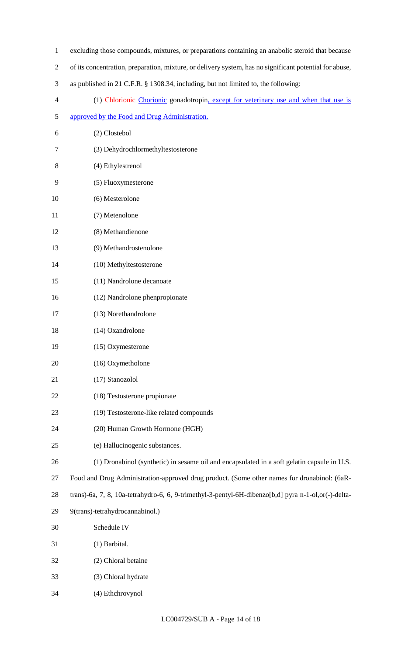- excluding those compounds, mixtures, or preparations containing an anabolic steroid that because
- of its concentration, preparation, mixture, or delivery system, has no significant potential for abuse,
- as published in 21 C.F.R. § 1308.34, including, but not limited to, the following:
- (1) Chlorionic Chorionic gonadotropin, except for veterinary use and when that use is
- approved by the Food and Drug Administration.
- (2) Clostebol
- (3) Dehydrochlormethyltestosterone
- (4) Ethylestrenol
- (5) Fluoxymesterone
- (6) Mesterolone
- (7) Metenolone
- (8) Methandienone
- (9) Methandrostenolone
- (10) Methyltestosterone
- (11) Nandrolone decanoate
- (12) Nandrolone phenpropionate
- (13) Norethandrolone
- (14) Oxandrolone
- (15) Oxymesterone
- (16) Oxymetholone
- (17) Stanozolol
- (18) Testosterone propionate
- (19) Testosterone-like related compounds
- (20) Human Growth Hormone (HGH)
- (e) Hallucinogenic substances.
- (1) Dronabinol (synthetic) in sesame oil and encapsulated in a soft gelatin capsule in U.S.
- Food and Drug Administration-approved drug product. (Some other names for dronabinol: (6aR-
- trans)-6a, 7, 8, 10a-tetrahydro-6, 6, 9-trimethyl-3-pentyl-6H-dibenzo[b,d] pyra n-1-ol,or(-)-delta-
- 9(trans)-tetrahydrocannabinol.)
- Schedule IV
- (1) Barbital.
- (2) Chloral betaine
- (3) Chloral hydrate
- (4) Ethchrovynol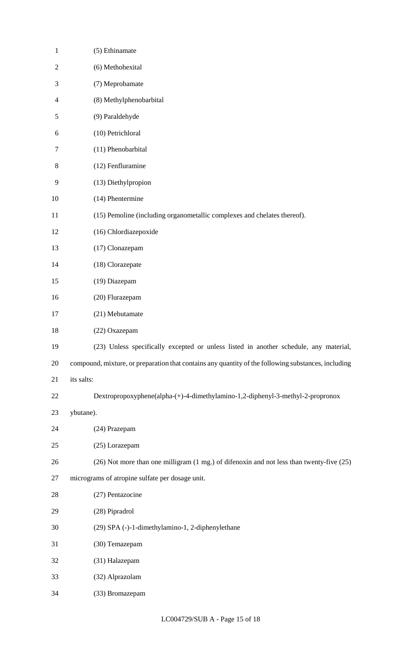| $\mathbf{1}$   | (5) Ethinamate                                                                                      |
|----------------|-----------------------------------------------------------------------------------------------------|
| $\overline{2}$ | (6) Methohexital                                                                                    |
| 3              | (7) Meprobamate                                                                                     |
| 4              | (8) Methylphenobarbital                                                                             |
| 5              | (9) Paraldehyde                                                                                     |
| 6              | (10) Petrichloral                                                                                   |
| 7              | (11) Phenobarbital                                                                                  |
| 8              | (12) Fenfluramine                                                                                   |
| 9              | (13) Diethylpropion                                                                                 |
| 10             | (14) Phentermine                                                                                    |
| 11             | (15) Pemoline (including organometallic complexes and chelates thereof).                            |
| 12             | (16) Chlordiazepoxide                                                                               |
| 13             | (17) Clonazepam                                                                                     |
| 14             | (18) Clorazepate                                                                                    |
| 15             | (19) Diazepam                                                                                       |
| 16             | (20) Flurazepam                                                                                     |
| 17             | (21) Mebutamate                                                                                     |
| 18             | (22) Oxazepam                                                                                       |
| 19             | (23) Unless specifically excepted or unless listed in another schedule, any material,               |
| 20             | compound, mixture, or preparation that contains any quantity of the following substances, including |
| 21             | its salts:                                                                                          |
| 22             | Dextropropoxyphene(alpha-(+)-4-dimethylamino-1,2-diphenyl-3-methyl-2-propronox                      |
| 23             | ybutane).                                                                                           |
| 24             | (24) Prazepam                                                                                       |
| 25             | (25) Lorazepam                                                                                      |
| 26             | (26) Not more than one milligram (1 mg.) of difenoxin and not less than twenty-five (25)            |
| 27             | micrograms of atropine sulfate per dosage unit.                                                     |
| 28             | (27) Pentazocine                                                                                    |
| 29             | (28) Pipradrol                                                                                      |
| 30             | (29) SPA (-)-1-dimethylamino-1, 2-diphenylethane                                                    |
| 31             | (30) Temazepam                                                                                      |
| 32             | (31) Halazepam                                                                                      |
| 33             | (32) Alprazolam                                                                                     |
| 34             | (33) Bromazepam                                                                                     |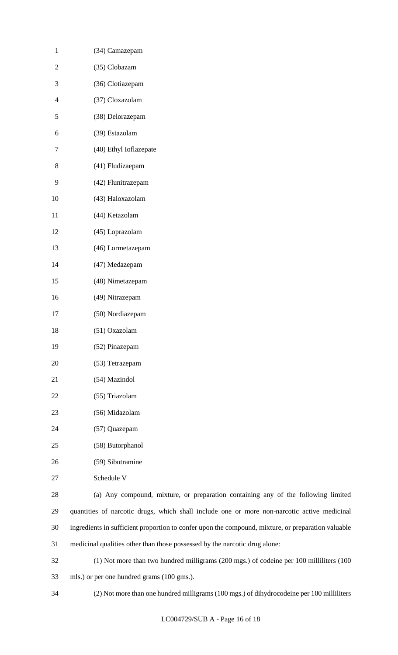| 1              | (34) Camazepam             |
|----------------|----------------------------|
| 2              | (35) Clobazam              |
| 3              | (36) Clotiazepam           |
| $\overline{4}$ | (37) Cloxazolam            |
| 5              | (38) Delorazepam           |
| 6              | (39) Estazolam             |
| 7              | (40) Ethyl Ioflazepate     |
| 8              | (41) Fludizaepam           |
| 9              | (42) Flunitrazepam         |
| 10             | (43) Haloxazolam           |
| 11             | (44) Ketazolam             |
| 12             | (45) Loprazolam            |
| 13             | (46) Lormetazepam          |
| 14             | (47) Medazepam             |
| 15             | (48) Nimetazepam           |
| 16             | (49) Nitrazepam            |
| 17             | (50) Nordiazepam           |
| 18             | (51) Oxazolam              |
| 19             | (52) Pinazepam             |
| 20             | (53) Tetrazepam            |
| 21             | (54) Mazindol              |
| 22             | (55) Triazolam             |
| 23             | (56) Midazolam             |
| 24             | (57) Quazepam              |
| 25             | (58) Butorphanol           |
| 26             | (59) Sibutramine           |
| 27             | Schedule V                 |
| 28             | (a) Any compound, mixture, |

 (a) Any compound, mixture, or preparation containing any of the following limited quantities of narcotic drugs, which shall include one or more non-narcotic active medicinal ingredients in sufficient proportion to confer upon the compound, mixture, or preparation valuable medicinal qualities other than those possessed by the narcotic drug alone:

 (1) Not more than two hundred milligrams (200 mgs.) of codeine per 100 milliliters (100 mls.) or per one hundred grams (100 gms.).

(2) Not more than one hundred milligrams (100 mgs.) of dihydrocodeine per 100 milliliters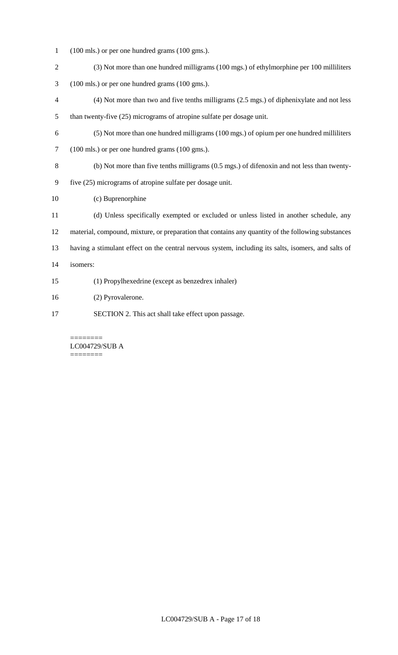- (100 mls.) or per one hundred grams (100 gms.).
- (3) Not more than one hundred milligrams (100 mgs.) of ethylmorphine per 100 milliliters
- (100 mls.) or per one hundred grams (100 gms.).
- (4) Not more than two and five tenths milligrams (2.5 mgs.) of diphenixylate and not less than twenty-five (25) micrograms of atropine sulfate per dosage unit.
- (5) Not more than one hundred milligrams (100 mgs.) of opium per one hundred milliliters (100 mls.) or per one hundred grams (100 gms.).
- (b) Not more than five tenths milligrams (0.5 mgs.) of difenoxin and not less than twenty-
- five (25) micrograms of atropine sulfate per dosage unit.
- (c) Buprenorphine
- (d) Unless specifically exempted or excluded or unless listed in another schedule, any material, compound, mixture, or preparation that contains any quantity of the following substances having a stimulant effect on the central nervous system, including its salts, isomers, and salts of isomers:
- (1) Propylhexedrine (except as benzedrex inhaler)
- (2) Pyrovalerone.
- SECTION 2. This act shall take effect upon passage.

======== LC004729/SUB A ========